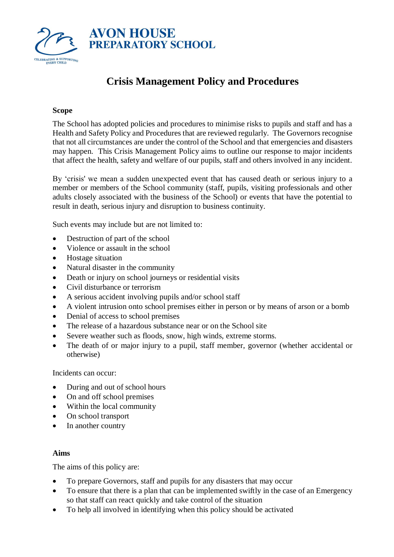

# **Crisis Management Policy and Procedures**

### **Scope**

The School has adopted policies and procedures to minimise risks to pupils and staff and has a Health and Safety Policy and Procedures that are reviewed regularly. The Governors recognise that not all circumstances are under the control of the School and that emergencies and disasters may happen. This Crisis Management Policy aims to outline our response to major incidents that affect the health, safety and welfare of our pupils, staff and others involved in any incident.

By 'crisis' we mean a sudden unexpected event that has caused death or serious injury to a member or members of the School community (staff, pupils, visiting professionals and other adults closely associated with the business of the School) or events that have the potential to result in death, serious injury and disruption to business continuity.

Such events may include but are not limited to:

- Destruction of part of the school
- Violence or assault in the school
- Hostage situation
- Natural disaster in the community
- Death or injury on school journeys or residential visits
- Civil disturbance or terrorism
- A serious accident involving pupils and/or school staff
- A violent intrusion onto school premises either in person or by means of arson or a bomb
- Denial of access to school premises
- The release of a hazardous substance near or on the School site
- Severe weather such as floods, snow, high winds, extreme storms.
- The death of or major injury to a pupil, staff member, governor (whether accidental or otherwise)

Incidents can occur:

- During and out of school hours
- On and off school premises
- Within the local community
- On school transport
- In another country

#### **Aims**

The aims of this policy are:

- To prepare Governors, staff and pupils for any disasters that may occur
- To ensure that there is a plan that can be implemented swiftly in the case of an Emergency so that staff can react quickly and take control of the situation
- To help all involved in identifying when this policy should be activated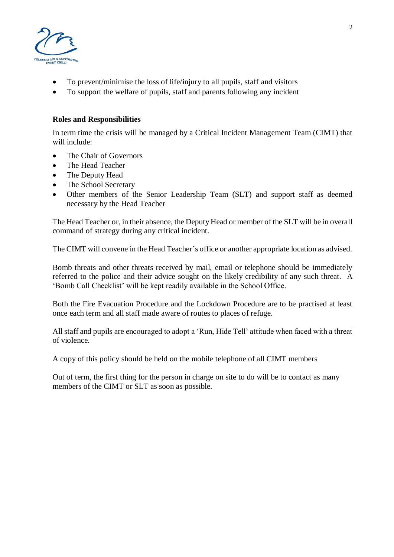

- To prevent/minimise the loss of life/injury to all pupils, staff and visitors
- To support the welfare of pupils, staff and parents following any incident

### **Roles and Responsibilities**

In term time the crisis will be managed by a Critical Incident Management Team (CIMT) that will include:

- The Chair of Governors
- The Head Teacher
- The Deputy Head
- The School Secretary
- Other members of the Senior Leadership Team (SLT) and support staff as deemed necessary by the Head Teacher

The Head Teacher or, in their absence, the Deputy Head or member of the SLT will be in overall command of strategy during any critical incident.

The CIMT will convene in the Head Teacher's office or another appropriate location as advised.

Bomb threats and other threats received by mail, email or telephone should be immediately referred to the police and their advice sought on the likely credibility of any such threat. A 'Bomb Call Checklist' will be kept readily available in the School Office.

Both the Fire Evacuation Procedure and the Lockdown Procedure are to be practised at least once each term and all staff made aware of routes to places of refuge.

All staff and pupils are encouraged to adopt a 'Run, Hide Tell' attitude when faced with a threat of violence.

A copy of this policy should be held on the mobile telephone of all CIMT members

Out of term, the first thing for the person in charge on site to do will be to contact as many members of the CIMT or SLT as soon as possible.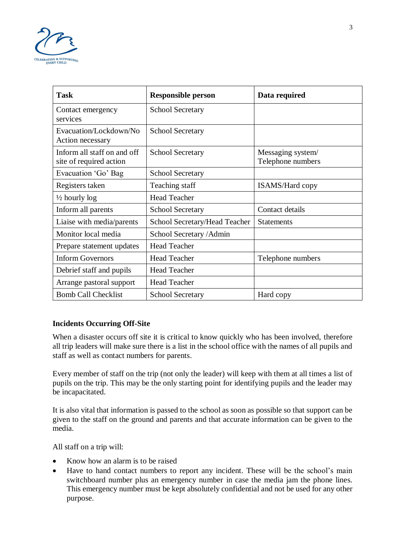

| <b>Task</b>                                            | <b>Responsible person</b>     | Data required                          |
|--------------------------------------------------------|-------------------------------|----------------------------------------|
| Contact emergency<br>services                          | <b>School Secretary</b>       |                                        |
| Evacuation/Lockdown/No<br>Action necessary             | <b>School Secretary</b>       |                                        |
| Inform all staff on and off<br>site of required action | <b>School Secretary</b>       | Messaging system/<br>Telephone numbers |
| Evacuation 'Go' Bag                                    | <b>School Secretary</b>       |                                        |
| Registers taken                                        | Teaching staff                | <b>ISAMS/Hard copy</b>                 |
| $\frac{1}{2}$ hourly log                               | <b>Head Teacher</b>           |                                        |
| Inform all parents                                     | <b>School Secretary</b>       | Contact details                        |
| Liaise with media/parents                              | School Secretary/Head Teacher | <b>Statements</b>                      |
| Monitor local media                                    | School Secretary / Admin      |                                        |
| Prepare statement updates                              | <b>Head Teacher</b>           |                                        |
| <b>Inform Governors</b>                                | <b>Head Teacher</b>           | Telephone numbers                      |
| Debrief staff and pupils                               | <b>Head Teacher</b>           |                                        |
| Arrange pastoral support                               | <b>Head Teacher</b>           |                                        |
| <b>Bomb Call Checklist</b>                             | <b>School Secretary</b>       | Hard copy                              |

# **Incidents Occurring Off-Site**

When a disaster occurs off site it is critical to know quickly who has been involved, therefore all trip leaders will make sure there is a list in the school office with the names of all pupils and staff as well as contact numbers for parents.

Every member of staff on the trip (not only the leader) will keep with them at all times a list of pupils on the trip. This may be the only starting point for identifying pupils and the leader may be incapacitated.

It is also vital that information is passed to the school as soon as possible so that support can be given to the staff on the ground and parents and that accurate information can be given to the media.

All staff on a trip will:

- Know how an alarm is to be raised
- Have to hand contact numbers to report any incident. These will be the school's main switchboard number plus an emergency number in case the media jam the phone lines. This emergency number must be kept absolutely confidential and not be used for any other purpose.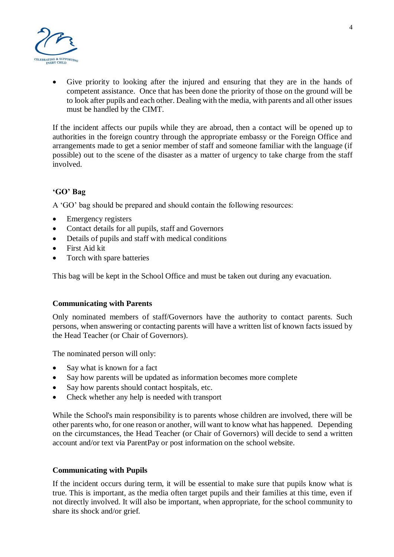

Give priority to looking after the injured and ensuring that they are in the hands of competent assistance. Once that has been done the priority of those on the ground will be to look after pupils and each other. Dealing with the media, with parents and all other issues must be handled by the CIMT.

If the incident affects our pupils while they are abroad, then a contact will be opened up to authorities in the foreign country through the appropriate embassy or the Foreign Office and arrangements made to get a senior member of staff and someone familiar with the language (if possible) out to the scene of the disaster as a matter of urgency to take charge from the staff involved.

# **'GO' Bag**

A 'GO' bag should be prepared and should contain the following resources:

- Emergency registers
- Contact details for all pupils, staff and Governors
- Details of pupils and staff with medical conditions
- First Aid kit
- Torch with spare batteries

This bag will be kept in the School Office and must be taken out during any evacuation.

#### **Communicating with Parents**

Only nominated members of staff/Governors have the authority to contact parents. Such persons, when answering or contacting parents will have a written list of known facts issued by the Head Teacher (or Chair of Governors).

The nominated person will only:

- Say what is known for a fact
- Say how parents will be updated as information becomes more complete
- Say how parents should contact hospitals, etc.
- Check whether any help is needed with transport

While the School's main responsibility is to parents whose children are involved, there will be other parents who, for one reason or another, will want to know what has happened. Depending on the circumstances, the Head Teacher (or Chair of Governors) will decide to send a written account and/or text via ParentPay or post information on the school website.

# **Communicating with Pupils**

If the incident occurs during term, it will be essential to make sure that pupils know what is true. This is important, as the media often target pupils and their families at this time, even if not directly involved. It will also be important, when appropriate, for the school community to share its shock and/or grief.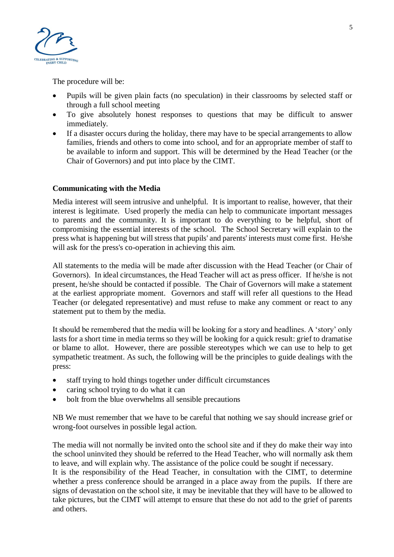

The procedure will be:

- Pupils will be given plain facts (no speculation) in their classrooms by selected staff or through a full school meeting
- To give absolutely honest responses to questions that may be difficult to answer immediately.
- If a disaster occurs during the holiday, there may have to be special arrangements to allow families, friends and others to come into school, and for an appropriate member of staff to be available to inform and support. This will be determined by the Head Teacher (or the Chair of Governors) and put into place by the CIMT.

### **Communicating with the Media**

Media interest will seem intrusive and unhelpful. It is important to realise, however, that their interest is legitimate. Used properly the media can help to communicate important messages to parents and the community. It is important to do everything to be helpful, short of compromising the essential interests of the school. The School Secretary will explain to the press what is happening but will stress that pupils' and parents' interests must come first. He/she will ask for the press's co-operation in achieving this aim.

All statements to the media will be made after discussion with the Head Teacher (or Chair of Governors). In ideal circumstances, the Head Teacher will act as press officer. If he/she is not present, he/she should be contacted if possible. The Chair of Governors will make a statement at the earliest appropriate moment. Governors and staff will refer all questions to the Head Teacher (or delegated representative) and must refuse to make any comment or react to any statement put to them by the media.

It should be remembered that the media will be looking for a story and headlines. A 'story' only lasts for a short time in media terms so they will be looking for a quick result: grief to dramatise or blame to allot. However, there are possible stereotypes which we can use to help to get sympathetic treatment. As such, the following will be the principles to guide dealings with the press:

- staff trying to hold things together under difficult circumstances
- caring school trying to do what it can
- bolt from the blue overwhelms all sensible precautions

NB We must remember that we have to be careful that nothing we say should increase grief or wrong-foot ourselves in possible legal action.

The media will not normally be invited onto the school site and if they do make their way into the school uninvited they should be referred to the Head Teacher, who will normally ask them to leave, and will explain why. The assistance of the police could be sought if necessary. It is the responsibility of the Head Teacher, in consultation with the CIMT, to determine whether a press conference should be arranged in a place away from the pupils. If there are signs of devastation on the school site, it may be inevitable that they will have to be allowed to take pictures, but the CIMT will attempt to ensure that these do not add to the grief of parents and others.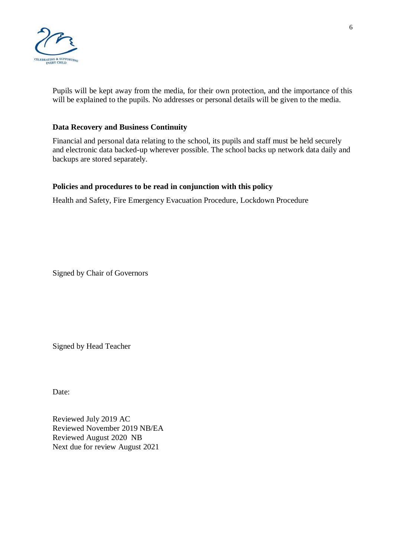

Pupils will be kept away from the media, for their own protection, and the importance of this will be explained to the pupils. No addresses or personal details will be given to the media.

#### **Data Recovery and Business Continuity**

Financial and personal data relating to the school, its pupils and staff must be held securely and electronic data backed-up wherever possible. The school backs up network data daily and backups are stored separately.

### **Policies and procedures to be read in conjunction with this policy**

Health and Safety, Fire Emergency Evacuation Procedure, Lockdown Procedure

Signed by Chair of Governors

Signed by Head Teacher

Date:

Reviewed July 2019 AC Reviewed November 2019 NB/EA Reviewed August 2020 NB Next due for review August 2021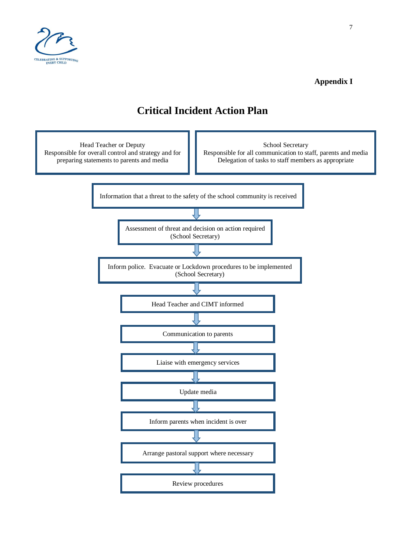

# **Appendix I**

# **Critical Incident Action Plan**

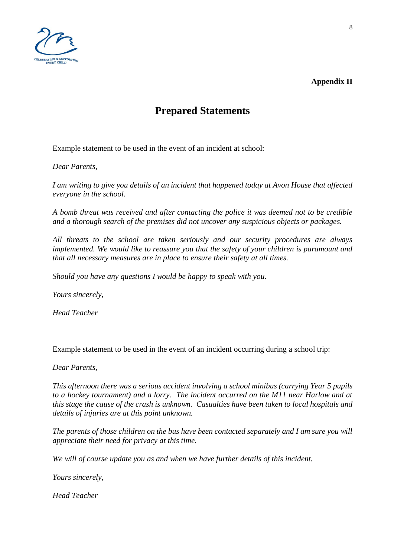

**Appendix II**

# **Prepared Statements**

Example statement to be used in the event of an incident at school:

*Dear Parents,*

*I am writing to give you details of an incident that happened today at Avon House that affected everyone in the school.*

*A bomb threat was received and after contacting the police it was deemed not to be credible and a thorough search of the premises did not uncover any suspicious objects or packages.*

*All threats to the school are taken seriously and our security procedures are always implemented. We would like to reassure you that the safety of your children is paramount and that all necessary measures are in place to ensure their safety at all times.*

*Should you have any questions I would be happy to speak with you.*

*Yours sincerely,*

*Head Teacher*

Example statement to be used in the event of an incident occurring during a school trip:

*Dear Parents,*

*This afternoon there was a serious accident involving a school minibus (carrying Year 5 pupils to a hockey tournament) and a lorry. The incident occurred on the M11 near Harlow and at this stage the cause of the crash is unknown. Casualties have been taken to local hospitals and details of injuries are at this point unknown.*

*The parents of those children on the bus have been contacted separately and I am sure you will appreciate their need for privacy at this time.*

*We will of course update you as and when we have further details of this incident.*

*Yours sincerely,*

*Head Teacher*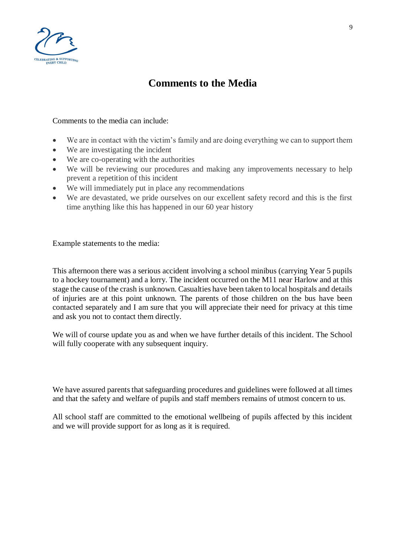

# **Comments to the Media**

Comments to the media can include:

- We are in contact with the victim's family and are doing everything we can to support them
- We are investigating the incident
- We are co-operating with the authorities
- We will be reviewing our procedures and making any improvements necessary to help prevent a repetition of this incident
- We will immediately put in place any recommendations
- We are devastated, we pride ourselves on our excellent safety record and this is the first time anything like this has happened in our 60 year history

Example statements to the media:

This afternoon there was a serious accident involving a school minibus (carrying Year 5 pupils to a hockey tournament) and a lorry. The incident occurred on the M11 near Harlow and at this stage the cause of the crash is unknown. Casualties have been taken to local hospitals and details of injuries are at this point unknown. The parents of those children on the bus have been contacted separately and I am sure that you will appreciate their need for privacy at this time and ask you not to contact them directly.

We will of course update you as and when we have further details of this incident. The School will fully cooperate with any subsequent inquiry.

We have assured parents that safeguarding procedures and guidelines were followed at all times and that the safety and welfare of pupils and staff members remains of utmost concern to us.

All school staff are committed to the emotional wellbeing of pupils affected by this incident and we will provide support for as long as it is required.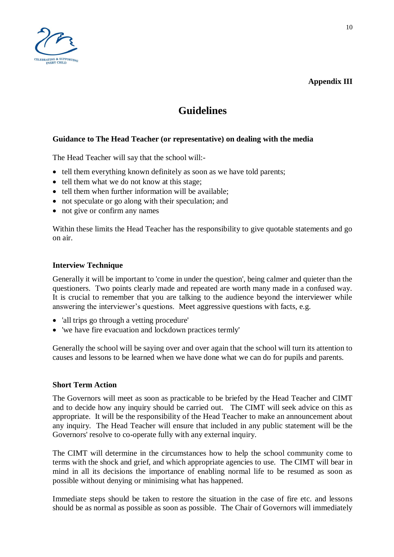

# **Guidelines**

# **Guidance to The Head Teacher (or representative) on dealing with the media**

The Head Teacher will say that the school will:-

- tell them everything known definitely as soon as we have told parents;
- tell them what we do not know at this stage:
- tell them when further information will be available;
- not speculate or go along with their speculation; and
- not give or confirm any names

Within these limits the Head Teacher has the responsibility to give quotable statements and go on air.

#### **Interview Technique**

Generally it will be important to 'come in under the question', being calmer and quieter than the questioners. Two points clearly made and repeated are worth many made in a confused way. It is crucial to remember that you are talking to the audience beyond the interviewer while answering the interviewer's questions. Meet aggressive questions with facts, e.g.

- 'all trips go through a vetting procedure'
- 'we have fire evacuation and lockdown practices termly'

Generally the school will be saying over and over again that the school will turn its attention to causes and lessons to be learned when we have done what we can do for pupils and parents.

#### **Short Term Action**

The Governors will meet as soon as practicable to be briefed by the Head Teacher and CIMT and to decide how any inquiry should be carried out. The CIMT will seek advice on this as appropriate. It will be the responsibility of the Head Teacher to make an announcement about any inquiry. The Head Teacher will ensure that included in any public statement will be the Governors' resolve to co-operate fully with any external inquiry.

The CIMT will determine in the circumstances how to help the school community come to terms with the shock and grief, and which appropriate agencies to use. The CIMT will bear in mind in all its decisions the importance of enabling normal life to be resumed as soon as possible without denying or minimising what has happened.

Immediate steps should be taken to restore the situation in the case of fire etc. and lessons should be as normal as possible as soon as possible. The Chair of Governors will immediately